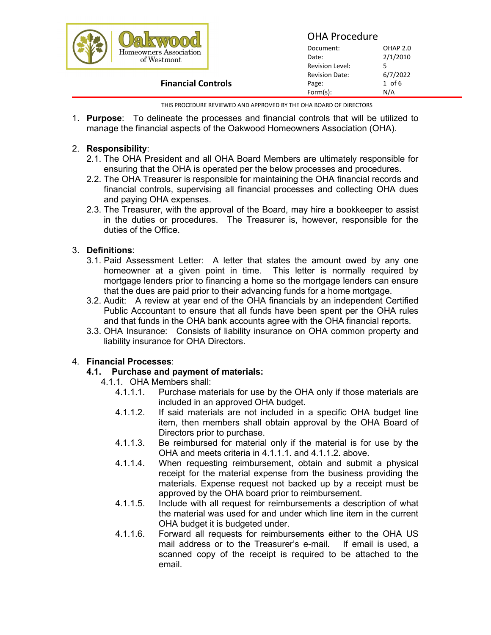|                                       |                       | <b>OHA Procedure</b> |  |
|---------------------------------------|-----------------------|----------------------|--|
| Homeowners Association<br>of Westmont | Document:             | OHAP 2.0             |  |
|                                       | Date:                 | 2/1/2010             |  |
|                                       | Revision Level:       |                      |  |
|                                       | <b>Revision Date:</b> | 6/7/2022             |  |
| <b>Financial Controls</b>             | Page:                 | $1$ of $6$           |  |
|                                       | Form(s):              | N/A                  |  |

THIS PROCEDURE REVIEWED AND APPROVED BY THE OHA BOARD OF DIRECTORS

1. **Purpose**: To delineate the processes and financial controls that will be utilized to manage the financial aspects of the Oakwood Homeowners Association (OHA).

# 2. **Responsibility**:

- 2.1. The OHA President and all OHA Board Members are ultimately responsible for ensuring that the OHA is operated per the below processes and procedures.
- 2.2. The OHA Treasurer is responsible for maintaining the OHA financial records and financial controls, supervising all financial processes and collecting OHA dues and paying OHA expenses.
- 2.3. The Treasurer, with the approval of the Board, may hire a bookkeeper to assist in the duties or procedures. The Treasurer is, however, responsible for the duties of the Office.

# 3. **Definitions**:

- 3.1. Paid Assessment Letter: A letter that states the amount owed by any one homeowner at a given point in time. This letter is normally required by mortgage lenders prior to financing a home so the mortgage lenders can ensure that the dues are paid prior to their advancing funds for a home mortgage.
- 3.2. Audit: A review at year end of the OHA financials by an independent Certified Public Accountant to ensure that all funds have been spent per the OHA rules and that funds in the OHA bank accounts agree with the OHA financial reports.
- 3.3. OHA Insurance: Consists of liability insurance on OHA common property and liability insurance for OHA Directors.

# 4. **Financial Processes**:

# **4.1. Purchase and payment of materials:**

- 4.1.1. OHA Members shall:
	- 4.1.1.1. Purchase materials for use by the OHA only if those materials are included in an approved OHA budget.
	- 4.1.1.2. If said materials are not included in a specific OHA budget line item, then members shall obtain approval by the OHA Board of Directors prior to purchase.
	- 4.1.1.3. Be reimbursed for material only if the material is for use by the OHA and meets criteria in 4.1.1.1. and 4.1.1.2. above.
	- 4.1.1.4. When requesting reimbursement, obtain and submit a physical receipt for the material expense from the business providing the materials. Expense request not backed up by a receipt must be approved by the OHA board prior to reimbursement.
	- 4.1.1.5. Include with all request for reimbursements a description of what the material was used for and under which line item in the current OHA budget it is budgeted under.
	- 4.1.1.6. Forward all requests for reimbursements either to the OHA US mail address or to the Treasurer's e-mail. If email is used, a scanned copy of the receipt is required to be attached to the email.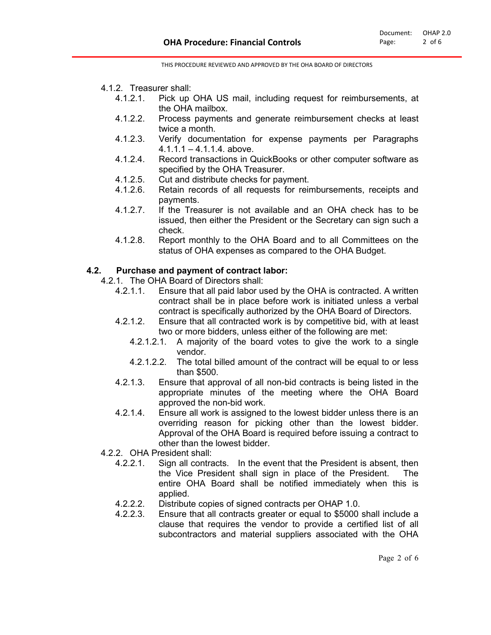- 4.1.2. Treasurer shall:
	- 4.1.2.1. Pick up OHA US mail, including request for reimbursements, at the OHA mailbox.
	- 4.1.2.2. Process payments and generate reimbursement checks at least twice a month.
	- 4.1.2.3. Verify documentation for expense payments per Paragraphs  $4.1.1.1 - 4.1.1.4$ . above.
	- 4.1.2.4. Record transactions in QuickBooks or other computer software as specified by the OHA Treasurer.
	- 4.1.2.5. Cut and distribute checks for payment.<br>4.1.2.6. Retain records of all requests for reir
	- Retain records of all requests for reimbursements, receipts and payments.
	- 4.1.2.7. If the Treasurer is not available and an OHA check has to be issued, then either the President or the Secretary can sign such a check.
	- 4.1.2.8. Report monthly to the OHA Board and to all Committees on the status of OHA expenses as compared to the OHA Budget.

# **4.2. Purchase and payment of contract labor:**

- 4.2.1. The OHA Board of Directors shall:
	- 4.2.1.1. Ensure that all paid labor used by the OHA is contracted. A written contract shall be in place before work is initiated unless a verbal contract is specifically authorized by the OHA Board of Directors.
	- 4.2.1.2. Ensure that all contracted work is by competitive bid, with at least two or more bidders, unless either of the following are met:
		- 4.2.1.2.1. A majority of the board votes to give the work to a single vendor.
		- 4.2.1.2.2. The total billed amount of the contract will be equal to or less than \$500.
	- 4.2.1.3. Ensure that approval of all non-bid contracts is being listed in the appropriate minutes of the meeting where the OHA Board approved the non-bid work.
	- 4.2.1.4. Ensure all work is assigned to the lowest bidder unless there is an overriding reason for picking other than the lowest bidder. Approval of the OHA Board is required before issuing a contract to other than the lowest bidder.
- 4.2.2. OHA President shall:
	- 4.2.2.1. Sign all contracts. In the event that the President is absent, then the Vice President shall sign in place of the President. The entire OHA Board shall be notified immediately when this is applied.
	- 4.2.2.2. Distribute copies of signed contracts per OHAP 1.0.
	- 4.2.2.3. Ensure that all contracts greater or equal to \$5000 shall include a clause that requires the vendor to provide a certified list of all subcontractors and material suppliers associated with the OHA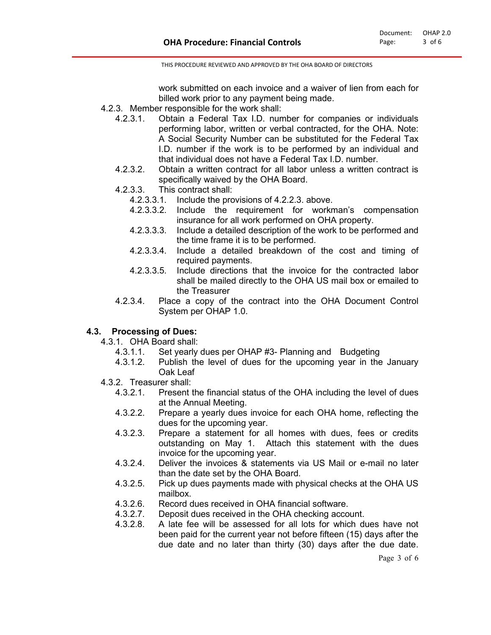work submitted on each invoice and a waiver of lien from each for billed work prior to any payment being made.

- 4.2.3. Member responsible for the work shall:
	- 4.2.3.1. Obtain a Federal Tax I.D. number for companies or individuals performing labor, written or verbal contracted, for the OHA. Note: A Social Security Number can be substituted for the Federal Tax I.D. number if the work is to be performed by an individual and that individual does not have a Federal Tax I.D. number.
	- 4.2.3.2. Obtain a written contract for all labor unless a written contract is specifically waived by the OHA Board.
	- 4.2.3.3. This contract shall:
		- 4.2.3.3.1. Include the provisions of 4.2.2.3. above.
		- 4.2.3.3.2. Include the requirement for workman's compensation insurance for all work performed on OHA property.
		- 4.2.3.3.3. Include a detailed description of the work to be performed and the time frame it is to be performed.
		- 4.2.3.3.4. Include a detailed breakdown of the cost and timing of required payments.
		- 4.2.3.3.5. Include directions that the invoice for the contracted labor shall be mailed directly to the OHA US mail box or emailed to the Treasurer
	- 4.2.3.4. Place a copy of the contract into the OHA Document Control System per OHAP 1.0.

### **4.3. Processing of Dues:**

4.3.1. OHA Board shall:

- 4.3.1.1. Set yearly dues per OHAP #3- Planning and Budgeting
- 4.3.1.2. Publish the level of dues for the upcoming year in the January Oak Leaf
- 4.3.2. Treasurer shall:
	- 4.3.2.1. Present the financial status of the OHA including the level of dues at the Annual Meeting.
	- 4.3.2.2. Prepare a yearly dues invoice for each OHA home, reflecting the dues for the upcoming year.
	- 4.3.2.3. Prepare a statement for all homes with dues, fees or credits outstanding on May 1. Attach this statement with the dues invoice for the upcoming year.
	- 4.3.2.4. Deliver the invoices & statements via US Mail or e-mail no later than the date set by the OHA Board.
	- 4.3.2.5. Pick up dues payments made with physical checks at the OHA US mailbox.
	- 4.3.2.6. Record dues received in OHA financial software.
	- 4.3.2.7. Deposit dues received in the OHA checking account.
	- 4.3.2.8. A late fee will be assessed for all lots for which dues have not been paid for the current year not before fifteen (15) days after the due date and no later than thirty (30) days after the due date.

Page 3 of 6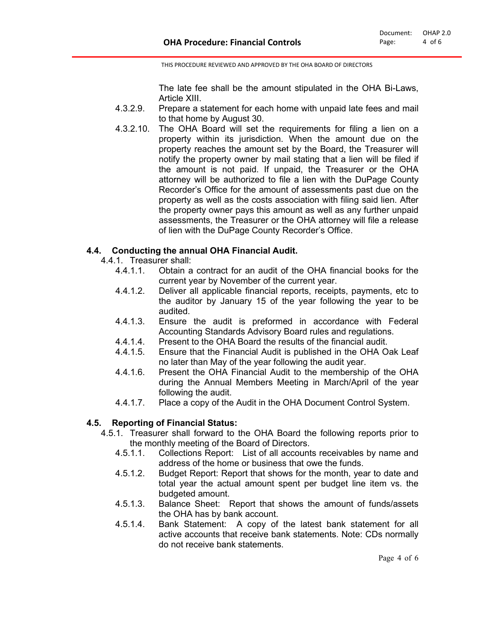The late fee shall be the amount stipulated in the OHA Bi-Laws, Article XIII.

- 4.3.2.9. Prepare a statement for each home with unpaid late fees and mail to that home by August 30.
- 4.3.2.10. The OHA Board will set the requirements for filing a lien on a property within its jurisdiction. When the amount due on the property reaches the amount set by the Board, the Treasurer will notify the property owner by mail stating that a lien will be filed if the amount is not paid. If unpaid, the Treasurer or the OHA attorney will be authorized to file a lien with the DuPage County Recorder's Office for the amount of assessments past due on the property as well as the costs association with filing said lien. After the property owner pays this amount as well as any further unpaid assessments, the Treasurer or the OHA attorney will file a release of lien with the DuPage County Recorder's Office.

# **4.4. Conducting the annual OHA Financial Audit.**

4.4.1. Treasurer shall:<br>4.4.1.1 Obtain a

- 4.4.1.1. Obtain a contract for an audit of the OHA financial books for the current year by November of the current year.
- 4.4.1.2. Deliver all applicable financial reports, receipts, payments, etc to the auditor by January 15 of the year following the year to be audited.
- 4.4.1.3. Ensure the audit is preformed in accordance with Federal Accounting Standards Advisory Board rules and regulations.
- 4.4.1.4. Present to the OHA Board the results of the financial audit.
- 4.4.1.5. Ensure that the Financial Audit is published in the OHA Oak Leaf no later than May of the year following the audit year.
- 4.4.1.6. Present the OHA Financial Audit to the membership of the OHA during the Annual Members Meeting in March/April of the year following the audit.
- 4.4.1.7. Place a copy of the Audit in the OHA Document Control System.

# **4.5. Reporting of Financial Status:**

- 4.5.1. Treasurer shall forward to the OHA Board the following reports prior to the monthly meeting of the Board of Directors.
	- 4.5.1.1. Collections Report: List of all accounts receivables by name and address of the home or business that owe the funds.
	- 4.5.1.2. Budget Report: Report that shows for the month, year to date and total year the actual amount spent per budget line item vs. the budgeted amount.
	- 4.5.1.3. Balance Sheet: Report that shows the amount of funds/assets the OHA has by bank account.
	- 4.5.1.4. Bank Statement: A copy of the latest bank statement for all active accounts that receive bank statements. Note: CDs normally do not receive bank statements.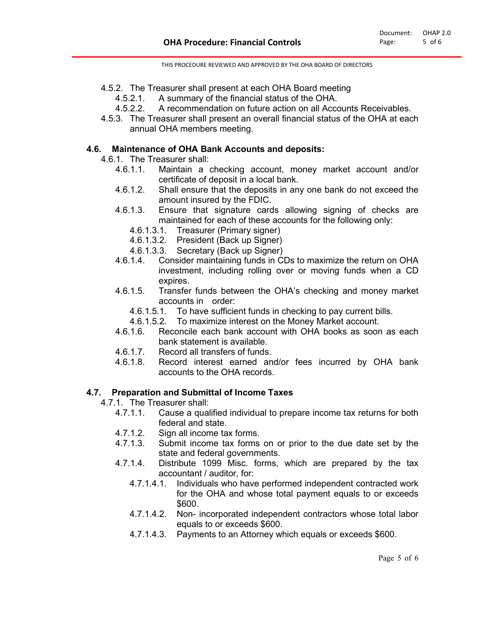- 4.5.2. The Treasurer shall present at each OHA Board meeting
	- 4.5.2.1. A summary of the financial status of the OHA.
	- 4.5.2.2. A recommendation on future action on all Accounts Receivables.
- 4.5.3. The Treasurer shall present an overall financial status of the OHA at each annual OHA members meeting.

### **4.6. Maintenance of OHA Bank Accounts and deposits:**

- 4.6.1. The Treasurer shall:
	- 4.6.1.1. Maintain a checking account, money market account and/or certificate of deposit in a local bank.
	- 4.6.1.2. Shall ensure that the deposits in any one bank do not exceed the amount insured by the FDIC.
	- 4.6.1.3. Ensure that signature cards allowing signing of checks are maintained for each of these accounts for the following only:
		- 4.6.1.3.1. Treasurer (Primary signer)
		- 4.6.1.3.2. President (Back up Signer)
		- 4.6.1.3.3. Secretary (Back up Signer)
	- 4.6.1.4. Consider maintaining funds in CDs to maximize the return on OHA investment, including rolling over or moving funds when a CD expires.
	- 4.6.1.5. Transfer funds between the OHA's checking and money market accounts in order:
		- 4.6.1.5.1. To have sufficient funds in checking to pay current bills.
		- 4.6.1.5.2. To maximize interest on the Money Market account.
	- 4.6.1.6. Reconcile each bank account with OHA books as soon as each bank statement is available.
	- 4.6.1.7. Record all transfers of funds.
	- 4.6.1.8. Record interest earned and/or fees incurred by OHA bank accounts to the OHA records.

# **4.7. Preparation and Submittal of Income Taxes**

- 4.7.1. The Treasurer shall:
	- Cause a qualified individual to prepare income tax returns for both federal and state.
	- 4.7.1.2. Sign all income tax forms.
	- 4.7.1.3. Submit income tax forms on or prior to the due date set by the state and federal governments.
	- 4.7.1.4. Distribute 1099 Misc. forms, which are prepared by the tax accountant / auditor, for:
		- 4.7.1.4.1. Individuals who have performed independent contracted work for the OHA and whose total payment equals to or exceeds \$600.
		- 4.7.1.4.2. Non- incorporated independent contractors whose total labor equals to or exceeds \$600.
		- 4.7.1.4.3. Payments to an Attorney which equals or exceeds \$600.